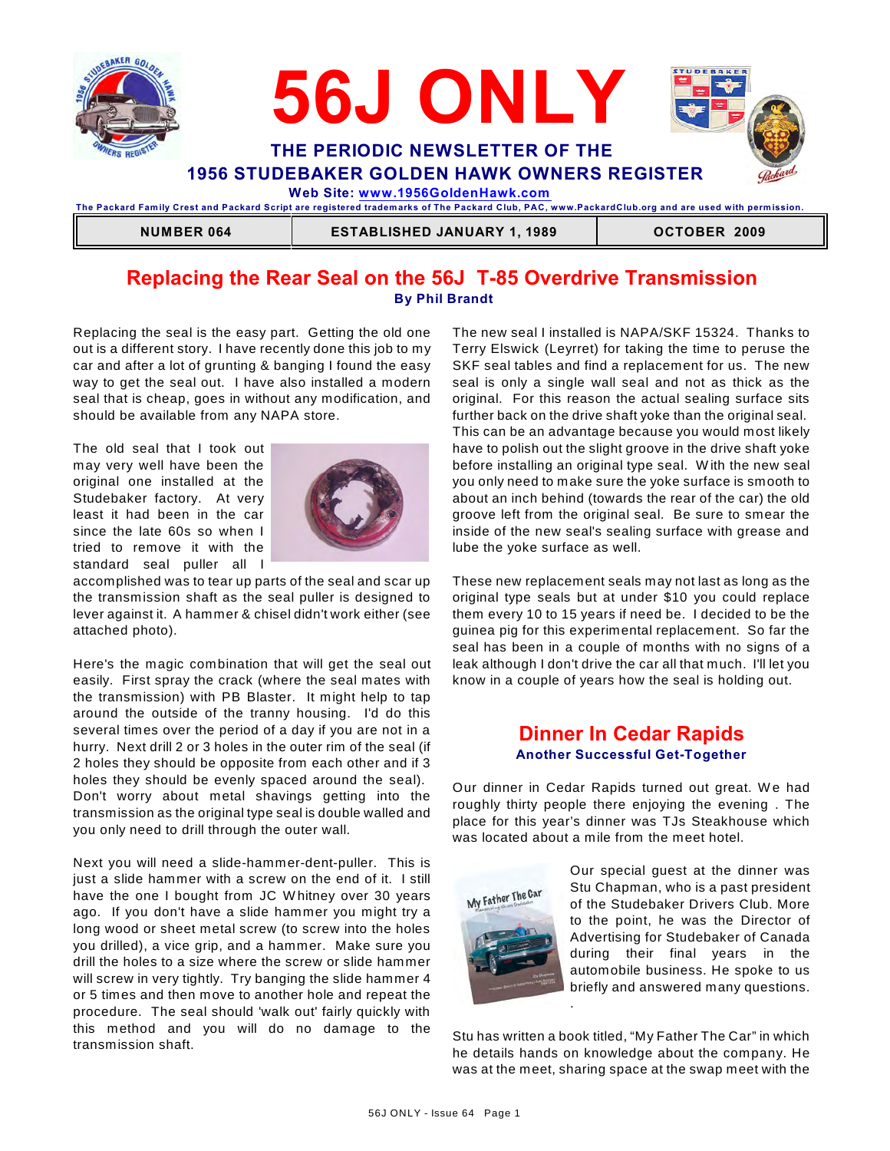



**The Packard Fam ily Crest and Packard Script are registered tradem arks of The Packard Club, PAC, www.PackardClub.org and are used with perm ission.** 

**NUMBER 064 ESTABLISHED JANUARY 1, 1989 OCTOBER 2009** 

## **Replacing the Rear Seal on the 56J T-85 Overdrive Transmission By Phil Brandt**

Replacing the seal is the easy part. Getting the old one out is a different story. I have recently done this job to my car and after a lot of grunting & banging I found the easy way to get the seal out. I have also installed a modern seal that is cheap, goes in without any modification, and should be available from any NAPA store.

The old seal that I took out may very well have been the original one installed at the Studebaker factory. At very least it had been in the car since the late 60s so when I tried to remove it with the standard seal puller all I



accomplished was to tear up parts of the seal and scar up the transmission shaft as the seal puller is designed to lever against it. A hammer & chisel didn't work either (see attached photo).

Here's the magic combination that will get the seal out easily. First spray the crack (where the seal mates with the transmission) with PB Blaster. It might help to tap around the outside of the tranny housing. I'd do this several times over the period of a day if you are not in a hurry. Next drill 2 or 3 holes in the outer rim of the seal (if 2 holes they should be opposite from each other and if 3 holes they should be evenly spaced around the seal). Don't worry about metal shavings getting into the transmission as the original type seal is double walled and you only need to drill through the outer wall.

Next you will need a slide-hammer-dent-puller. This is just a slide hammer with a screw on the end of it. I still have the one I bought from JC W hitney over 30 years ago. If you don't have a slide hammer you might try a long wood or sheet metal screw (to screw into the holes you drilled), a vice grip, and a hammer. Make sure you drill the holes to a size where the screw or slide hammer will screw in very tightly. Try banging the slide hammer 4 or 5 times and then move to another hole and repeat the procedure. The seal should 'walk out' fairly quickly with this method and you will do no damage to the transmission shaft.

The new seal I installed is NAPA/SKF 15324. Thanks to Terry Elswick (Leyrret) for taking the time to peruse the SKF seal tables and find a replacement for us. The new seal is only a single wall seal and not as thick as the original. For this reason the actual sealing surface sits further back on the drive shaft yoke than the original seal. This can be an advantage because you would most likely have to polish out the slight groove in the drive shaft yoke before installing an original type seal. W ith the new seal you only need to make sure the yoke surface is smooth to about an inch behind (towards the rear of the car) the old groove left from the original seal. Be sure to smear the inside of the new seal's sealing surface with grease and lube the yoke surface as well.

These new replacement seals may not last as long as the original type seals but at under \$10 you could replace them every 10 to 15 years if need be. I decided to be the guinea pig for this experimental replacement. So far the seal has been in a couple of months with no signs of a leak although I don't drive the car all that much. I'll let you know in a couple of years how the seal is holding out.

## **Dinner In Cedar Rapids Another Successful Get-Together**

Our dinner in Cedar Rapids turned out great. We had roughly thirty people there enjoying the evening . The place for this year's dinner was TJs Steakhouse which was located about a mile from the meet hotel.



Our special guest at the dinner was Stu Chapman, who is a past president of the Studebaker Drivers Club. More to the point, he was the Director of Advertising for Studebaker of Canada during their final years in the automobile business. He spoke to us briefly and answered many questions. .

Stu has written a book titled, "My Father The Car" in which he details hands on knowledge about the company. He was at the meet, sharing space at the swap meet with the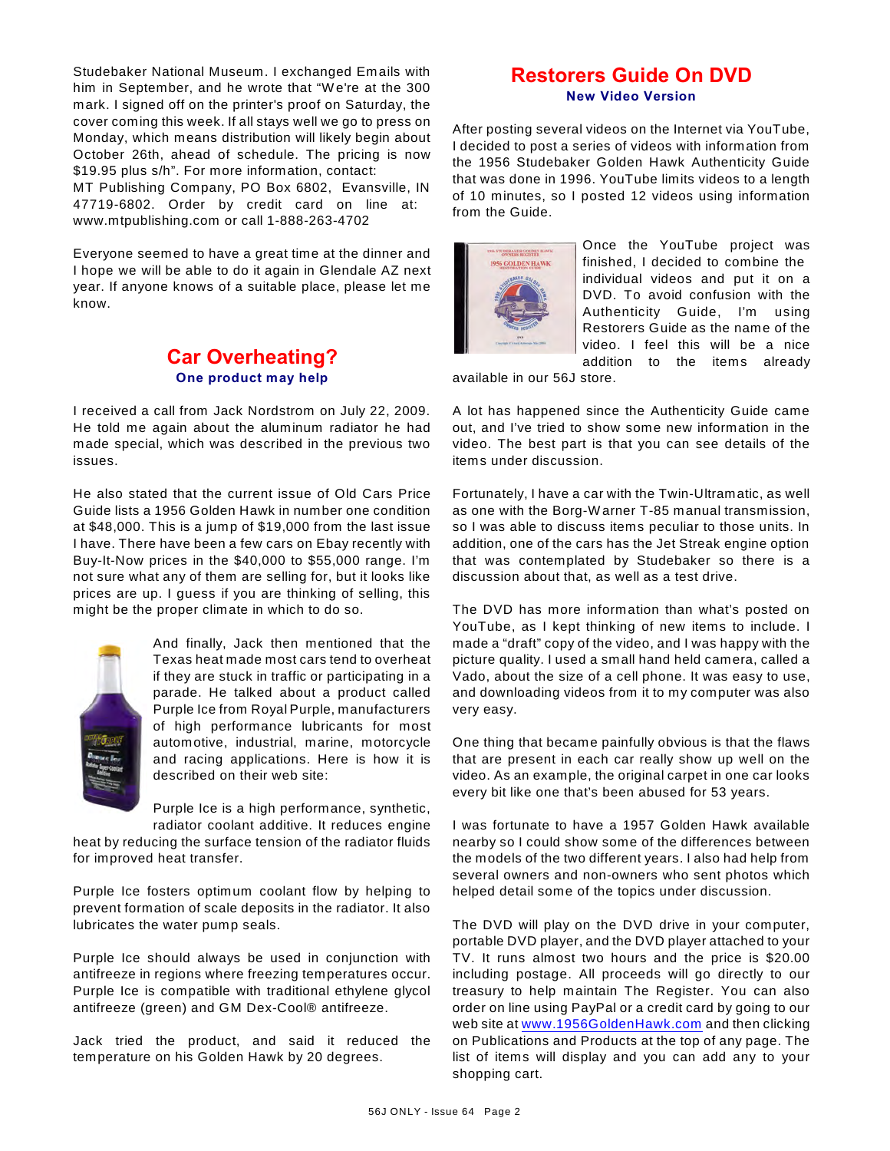Studebaker National Museum. I exchanged Emails with him in September, and he wrote that "W e're at the 300 mark. I signed off on the printer's proof on Saturday, the cover coming this week. If all stays well we go to press on Monday, which means distribution will likely begin about October 26th, ahead of schedule. The pricing is now \$19.95 plus s/h". For more information, contact:

MT Publishing Company, PO Box 6802, Evansville, IN 47719-6802. Order by credit card on line at: www.mtpublishing.com or call 1-888-263-4702

Everyone seemed to have a great time at the dinner and I hope we will be able to do it again in Glendale AZ next year. If anyone knows of a suitable place, please let me know.

## **Car Overheating? One product may help**

I received a call from Jack Nordstrom on July 22, 2009. He told me again about the aluminum radiator he had made special, which was described in the previous two issues.

He also stated that the current issue of Old Cars Price Guide lists a 1956 Golden Hawk in number one condition at \$48,000. This is a jump of \$19,000 from the last issue I have. There have been a few cars on Ebay recently with Buy-It-Now prices in the \$40,000 to \$55,000 range. I'm not sure what any of them are selling for, but it looks like prices are up. I guess if you are thinking of selling, this might be the proper climate in which to do so.



And finally, Jack then mentioned that the Texas heat made most cars tend to overheat if they are stuck in traffic or participating in a parade. He talked about a product called Purple Ice from Royal Purple, manufacturers of high performance lubricants for most automotive, industrial, marine, motorcycle and racing applications. Here is how it is described on their web site:

Purple Ice is a high performance, synthetic, radiator coolant additive. It reduces engine

heat by reducing the surface tension of the radiator fluids for improved heat transfer.

Purple Ice fosters optimum coolant flow by helping to prevent formation of scale deposits in the radiator. It also lubricates the water pump seals.

Purple Ice should always be used in conjunction with antifreeze in regions where freezing temperatures occur. Purple Ice is compatible with traditional ethylene glycol antifreeze (green) and GM Dex-Cool® antifreeze.

Jack tried the product, and said it reduced the temperature on his Golden Hawk by 20 degrees.

## **Restorers Guide On DVD New Video Version**

After posting several videos on the Internet via YouTube, I decided to post a series of videos with information from the 1956 Studebaker Golden Hawk Authenticity Guide that was done in 1996. YouTube limits videos to a length of 10 minutes, so I posted 12 videos using information from the Guide.



Once the YouTube project was finished, I decided to combine the individual videos and put it on a DVD. To avoid confusion with the Authenticity Guide, I'm using Restorers Guide as the name of the video. I feel this will be a nice addition to the items already

available in our 56J store.

A lot has happened since the Authenticity Guide came out, and I've tried to show some new information in the video. The best part is that you can see details of the items under discussion.

Fortunately, I have a car with the Twin-Ultramatic, as well as one with the Borg-W arner T-85 manual transmission, so I was able to discuss items peculiar to those units. In addition, one of the cars has the Jet Streak engine option that was contemplated by Studebaker so there is a discussion about that, as well as a test drive.

The DVD has more information than what's posted on YouTube, as I kept thinking of new items to include. I made a "draft" copy of the video, and I was happy with the picture quality. I used a small hand held camera, called a Vado, about the size of a cell phone. It was easy to use, and downloading videos from it to my computer was also very easy.

One thing that became painfully obvious is that the flaws that are present in each car really show up well on the video. As an example, the original carpet in one car looks every bit like one that's been abused for 53 years.

I was fortunate to have a 1957 Golden Hawk available nearby so I could show some of the differences between the models of the two different years. I also had help from several owners and non-owners who sent photos which helped detail some of the topics under discussion.

The DVD will play on the DVD drive in your computer, portable DVD player, and the DVD player attached to your TV. It runs almost two hours and the price is \$20.00 including postage. All proceeds will go directly to our treasury to help maintain The Register. You can also order on line using PayPal or a credit card by going to our web site at [www.1956GoldenHawk.com](http://www.1956GoldenHawk.com) and then clicking on Publications and Products at the top of any page. The list of items will display and you can add any to your shopping cart.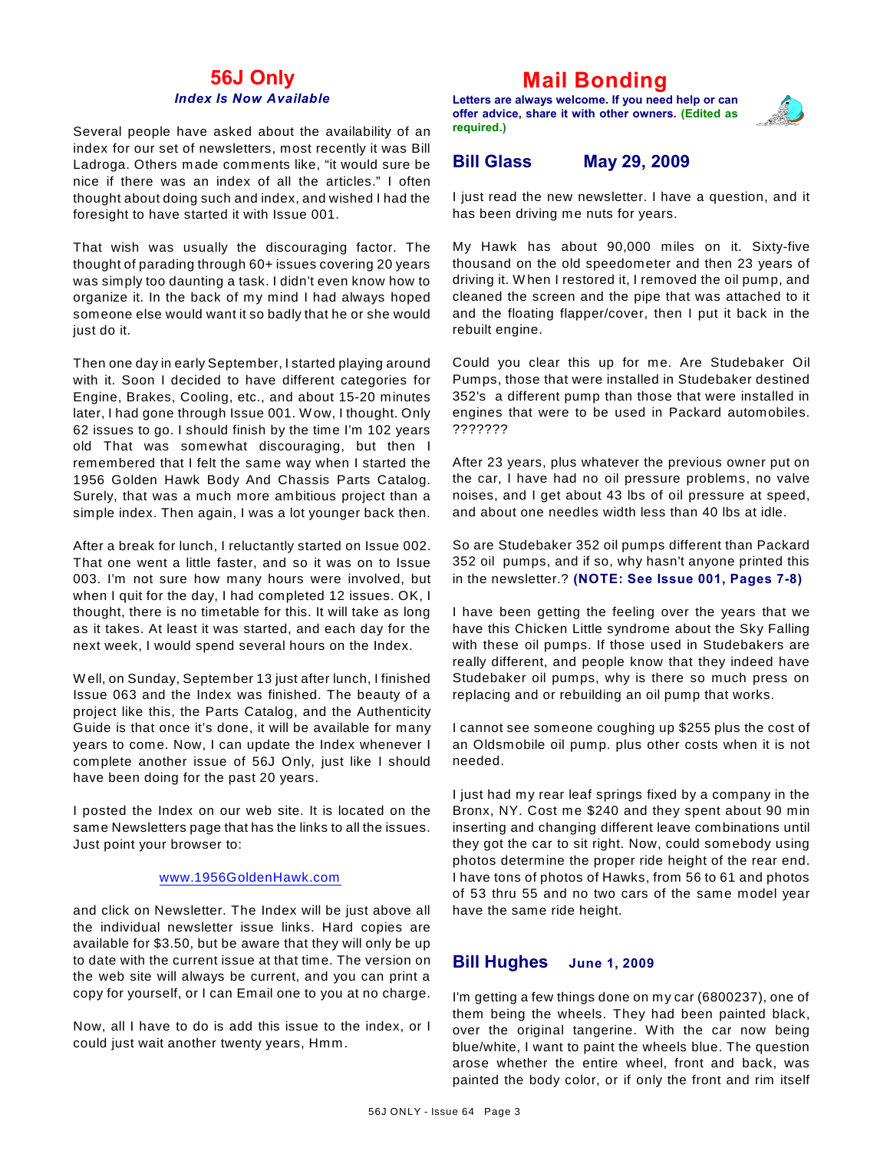## **56J Only** *Index Is Now Available*

Several people have asked about the availability of an index for our set of newsletters, most recently it was Bill Ladroga. Others made comments like, "it would sure be nice if there was an index of all the articles." I often thought about doing such and index, and wished I had the foresight to have started it with Issue 001.

That wish was usually the discouraging factor. The thought of parading through 60+ issues covering 20 years was simply too daunting a task. I didn't even know how to organize it. In the back of my mind I had always hoped someone else would want it so badly that he or she would just do it.

Then one day in early September, I started playing around with it. Soon I decided to have different categories for Engine, Brakes, Cooling, etc., and about 15-20 minutes later, I had gone through Issue 001. W ow, I thought. Only 62 issues to go. I should finish by the time I'm 102 years old That was somewhat discouraging, but then I remembered that I felt the same way when I started the 1956 Golden Hawk Body And Chassis Parts Catalog. Surely, that was a much more ambitious project than a simple index. Then again, I was a lot younger back then.

After a break for lunch, I reluctantly started on Issue 002. That one went a little faster, and so it was on to Issue 003. I'm not sure how many hours were involved, but when I quit for the day, I had completed 12 issues. OK, I thought, there is no timetable for this. It will take as long as it takes. At least it was started, and each day for the next week, I would spend several hours on the Index.

W ell, on Sunday, September 13 just after lunch, I finished Issue 063 and the Index was finished. The beauty of a project like this, the Parts Catalog, and the Authenticity Guide is that once it's done, it will be available for many years to come. Now, I can update the Index whenever I complete another issue of 56J Only, just like I should have been doing for the past 20 years.

I posted the Index on our web site. It is located on the same Newsletters page that has the links to all the issues. Just point your browser to:

#### [www.1956GoldenHawk.com](http://www.1956GoldenHawk.com)

and click on Newsletter. The Index will be just above all the individual newsletter issue links. Hard copies are available for \$3.50, but be aware that they will only be up to date with the current issue at that time. The version on the web site will always be current, and you can print a copy for yourself, or I can Email one to you at no charge.

Now, all I have to do is add this issue to the index, or I could just wait another twenty years, Hmm.

# **Mail Bonding**

**Letters are always welcome. If you need help or can offer advice, share it with other owners. (Edited as required.)**



## **Bill Glass May 29, 2009**

I just read the new newsletter. I have a question, and it has been driving me nuts for years.

My Hawk has about 90,000 miles on it. Sixty-five thousand on the old speedometer and then 23 years of driving it. W hen I restored it, I removed the oil pump, and cleaned the screen and the pipe that was attached to it and the floating flapper/cover, then I put it back in the rebuilt engine.

Could you clear this up for me. Are Studebaker Oil Pumps, those that were installed in Studebaker destined 352's a different pump than those that were installed in engines that were to be used in Packard automobiles. ???????

After 23 years, plus whatever the previous owner put on the car, I have had no oil pressure problems, no valve noises, and I get about 43 lbs of oil pressure at speed, and about one needles width less than 40 lbs at idle.

So are Studebaker 352 oil pumps different than Packard 352 oil pumps, and if so, why hasn't anyone printed this in the newsletter.? **(NOTE: See Issue 001, Pages 7-8)**

I have been getting the feeling over the years that we have this Chicken Little syndrome about the Sky Falling with these oil pumps. If those used in Studebakers are really different, and people know that they indeed have Studebaker oil pumps, why is there so much press on replacing and or rebuilding an oil pump that works.

I cannot see someone coughing up \$255 plus the cost of an Oldsmobile oil pump. plus other costs when it is not needed.

I just had my rear leaf springs fixed by a company in the Bronx, NY. Cost me \$240 and they spent about 90 min inserting and changing different leave combinations until they got the car to sit right. Now, could somebody using photos determine the proper ride height of the rear end. I have tons of photos of Hawks, from 56 to 61 and photos of 53 thru 55 and no two cars of the same model year have the same ride height.

#### **Bill Hughes June 1, 2009**

I'm getting a few things done on my car (6800237), one of them being the wheels. They had been painted black, over the original tangerine. W ith the car now being blue/white, I want to paint the wheels blue. The question arose whether the entire wheel, front and back, was painted the body color, or if only the front and rim itself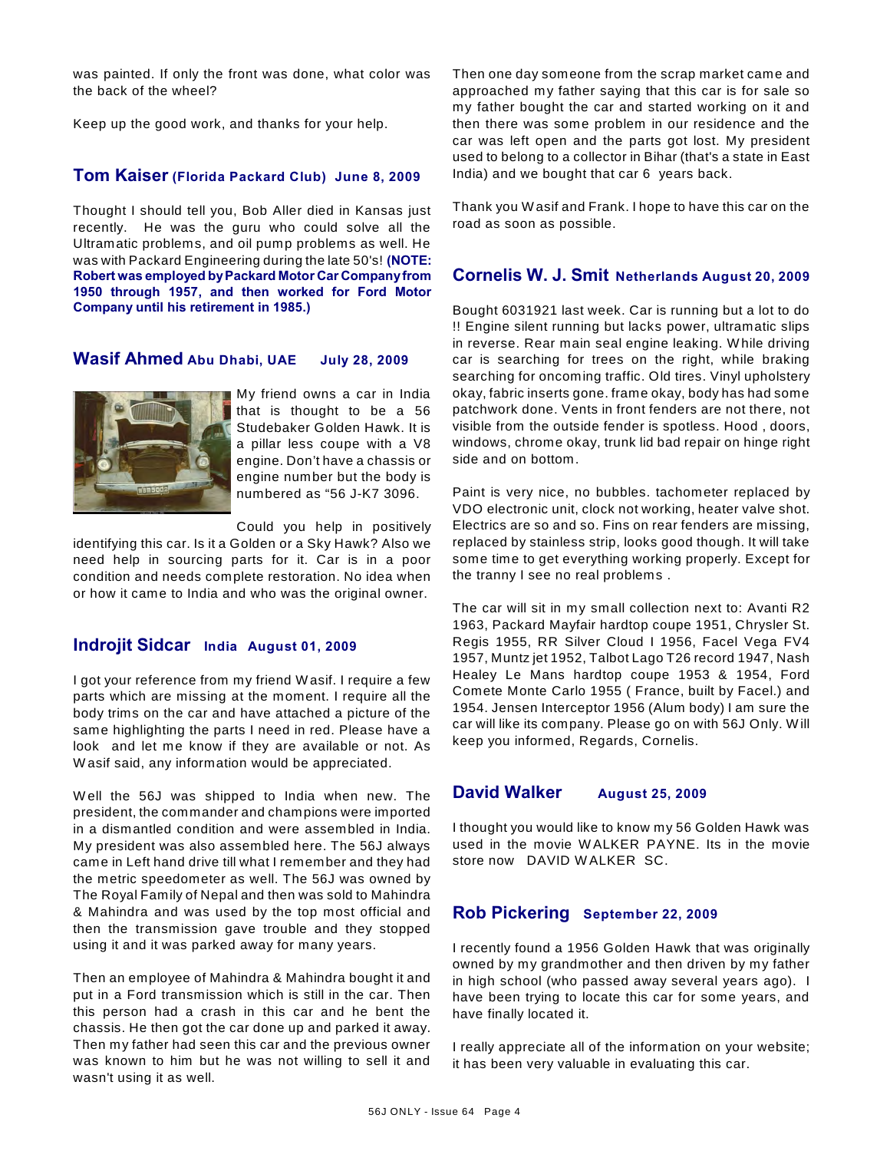was painted. If only the front was done, what color was the back of the wheel?

Keep up the good work, and thanks for your help.

## **Tom Kaiser (Florida Packard Club) June 8, 2009**

Thought I should tell you, Bob Aller died in Kansas just recently. He was the guru who could solve all the Ultramatic problems, and oil pump problems as well. He was with Packard Engineering during the late 50's! **(NOTE: Robert was employed by Packard Motor Car Company from 1950 through 1957, and then worked for Ford Motor Company until his retirement in 1985.)**

### **Wasif Ahmed Abu Dhabi, UAE July 28, 2009**



My friend owns a car in India that is thought to be a 56 Studebaker Golden Hawk. It is a pillar less coupe with a V8 engine. Don't have a chassis or engine number but the body is numbered as "56 J-K7 3096.

Could you help in positively

identifying this car. Is it a Golden or a Sky Hawk? Also we need help in sourcing parts for it. Car is in a poor condition and needs complete restoration. No idea when or how it came to India and who was the original owner.

### **Indrojit Sidcar India August 01, 2009**

I got your reference from my friend W asif. I require a few parts which are missing at the moment. I require all the body trims on the car and have attached a picture of the same highlighting the parts I need in red. Please have a look and let me know if they are available or not. As W asif said, any information would be appreciated.

W ell the 56J was shipped to India when new. The president, the commander and champions were imported in a dismantled condition and were assembled in India. My president was also assembled here. The 56J always came in Left hand drive till what I remember and they had the metric speedometer as well. The 56J was owned by The Royal Family of Nepal and then was sold to Mahindra & Mahindra and was used by the top most official and then the transmission gave trouble and they stopped using it and it was parked away for many years.

Then an employee of Mahindra & Mahindra bought it and put in a Ford transmission which is still in the car. Then this person had a crash in this car and he bent the chassis. He then got the car done up and parked it away. Then my father had seen this car and the previous owner was known to him but he was not willing to sell it and wasn't using it as well.

Then one day someone from the scrap market came and approached my father saying that this car is for sale so my father bought the car and started working on it and then there was some problem in our residence and the car was left open and the parts got lost. My president used to belong to a collector in Bihar (that's a state in East India) and we bought that car 6 years back.

Thank you W asif and Frank. I hope to have this car on the road as soon as possible.

### **Cornelis W. J. Smit Netherlands August 20, 2009**

Bought 6031921 last week. Car is running but a lot to do !! Engine silent running but lacks power, ultramatic slips in reverse. Rear main seal engine leaking. W hile driving car is searching for trees on the right, while braking searching for oncoming traffic. Old tires. Vinyl upholstery okay, fabric inserts gone. frame okay, body has had some patchwork done. Vents in front fenders are not there, not visible from the outside fender is spotless. Hood , doors, windows, chrome okay, trunk lid bad repair on hinge right side and on bottom.

Paint is very nice, no bubbles. tachometer replaced by VDO electronic unit, clock not working, heater valve shot. Electrics are so and so. Fins on rear fenders are missing, replaced by stainless strip, looks good though. It will take some time to get everything working properly. Except for the tranny I see no real problems .

The car will sit in my small collection next to: Avanti R2 1963, Packard Mayfair hardtop coupe 1951, Chrysler St. Regis 1955, RR Silver Cloud I 1956, Facel Vega FV4 1957, Muntz jet 1952, Talbot Lago T26 record 1947, Nash Healey Le Mans hardtop coupe 1953 & 1954, Ford Comete Monte Carlo 1955 ( France, built by Facel.) and 1954. Jensen Interceptor 1956 (Alum body) I am sure the car will like its company. Please go on with 56J Only. W ill keep you informed, Regards, Cornelis.

### **David Walker August 25, 2009**

I thought you would like to know my 56 Golden Hawk was used in the movie W ALKER PAYNE. Its in the movie store now DAVID W ALKER SC.

#### **Rob Pickering September 22, 2009**

I recently found a 1956 Golden Hawk that was originally owned by my grandmother and then driven by my father in high school (who passed away several years ago). I have been trying to locate this car for some years, and have finally located it.

I really appreciate all of the information on your website; it has been very valuable in evaluating this car.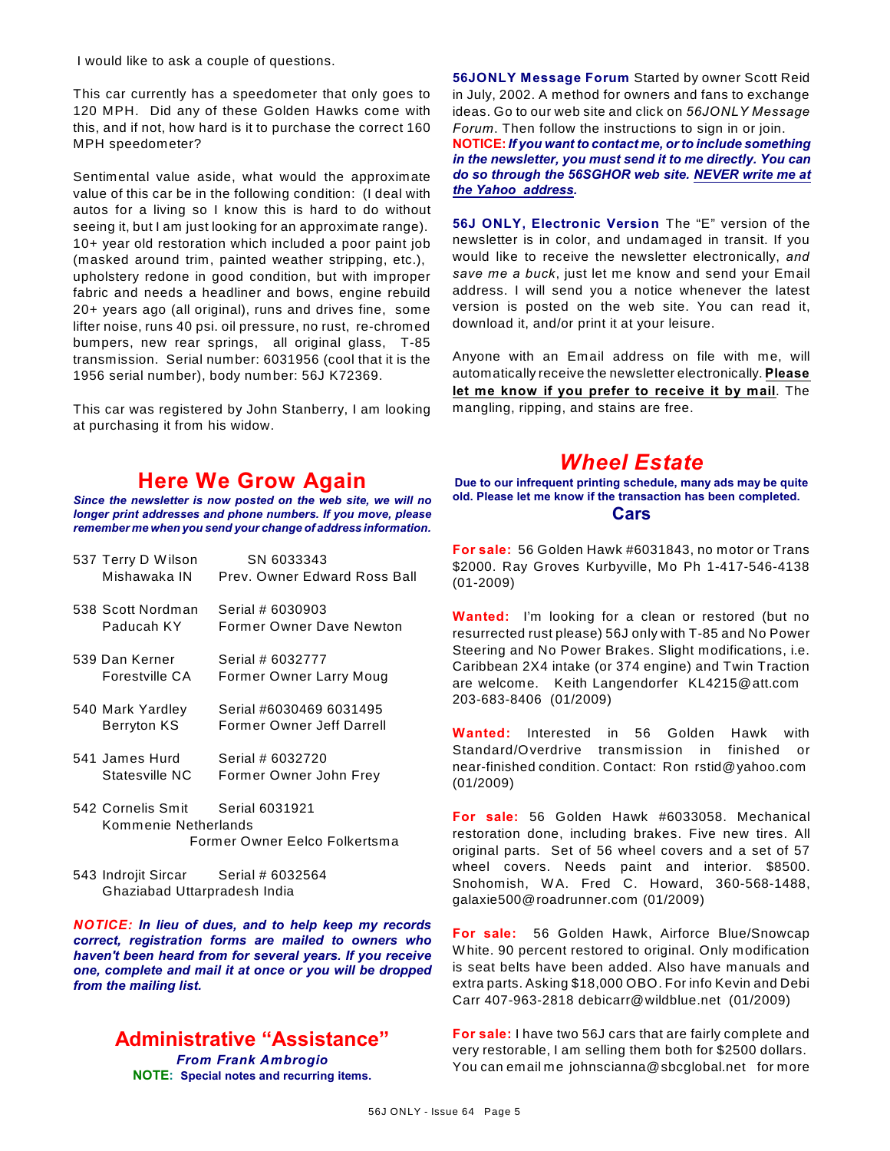I would like to ask a couple of questions.

This car currently has a speedometer that only goes to 120 MPH. Did any of these Golden Hawks come with this, and if not, how hard is it to purchase the correct 160 MPH speedometer?

Sentimental value aside, what would the approximate value of this car be in the following condition: (I deal with autos for a living so I know this is hard to do without seeing it, but I am just looking for an approximate range). 10+ year old restoration which included a poor paint job (masked around trim, painted weather stripping, etc.), upholstery redone in good condition, but with improper fabric and needs a headliner and bows, engine rebuild 20+ years ago (all original), runs and drives fine, some lifter noise, runs 40 psi. oil pressure, no rust, re-chromed bumpers, new rear springs, all original glass, T-85 transmission. Serial number: 6031956 (cool that it is the 1956 serial number), body number: 56J K72369.

This car was registered by John Stanberry, I am looking at purchasing it from his widow.

# **Here We Grow Again**

*Since the newsletter is now posted on the web site, we will no longer print addresses and phone numbers. If you move, please remember me when you send your change of address information.*

| 537 Terry D Wilson<br>Mishawaka IN        | SN 6033343<br>Prev. Owner Edward Ross Ball           |
|-------------------------------------------|------------------------------------------------------|
| 538 Scott Nordman<br>Paducah KY           | Serial # 6030903<br>Former Owner Dave Newton         |
| 539 Dan Kerner<br>Forestville CA          | Serial # 6032777<br>Former Owner Larry Moug          |
| 540 Mark Yardley<br><b>Berryton KS</b>    | Serial #6030469 6031495<br>Former Owner Jeff Darrell |
| 541 James Hurd<br>Statesville NC          | Serial # 6032720<br>Former Owner John Frey           |
| 542 Cornelis Smit<br>Kommenie Netherlands | Serial 6031921                                       |

Former Owner Eelco Folkertsma

543 Indrojit Sircar Serial # 6032564 Ghaziabad Uttarpradesh India

*NOTICE: In lieu of dues, and to help keep my records correct, registration forms are mailed to owners who haven't been heard from for several years. If you receive one, complete and mail it at once or you will be dropped from the mailing list.*

### **Administrative "Assistance"** *From Frank Ambrogio* **NOTE: Special notes and recurring items.**

**56JONLY Message Forum** Started by owner Scott Reid in July, 2002. A method for owners and fans to exchange ideas. Go to our web site and click on *56JONLY Message Forum*. Then follow the instructions to sign in or join.

**NOTICE:***If you want to contact me, or to include something in the newsletter, you must send it to me directly. You can do so through the 56SGHOR web site. NEVER write me at the Yahoo address.*

**56J ONLY, Electronic Version** The "E" version of the newsletter is in color, and undamaged in transit. If you would like to receive the newsletter electronically, *and save me a buck*, just let me know and send your Email address. I will send you a notice whenever the latest version is posted on the web site. You can read it, download it, and/or print it at your leisure.

Anyone with an Email address on file with me, will automatically receive the newsletter electronically. **Please let me know if you prefer to receive it by mail**. The mangling, ripping, and stains are free.

# *Wheel Estate*

**Due to our infrequent printing schedule, many ads may be quite old. Please let me know if the transaction has been completed. Cars**

**For sale:** 56 Golden Hawk #6031843, no motor or Trans \$2000. Ray Groves Kurbyville, Mo Ph 1-417-546-4138 (01-2009)

**Wanted:** I'm looking for a clean or restored (but no resurrected rust please) 56J only with T-85 and No Power Steering and No Power Brakes. Slight modifications, i.e. Caribbean 2X4 intake (or 374 engine) and Twin Traction are welcome. Keith Langendorfer KL4215@att.com 203-683-8406 (01/2009)

**Wanted:** Interested in 56 Golden Hawk with Standard/Overdrive transmission in finished or near-finished condition. Contact: Ron rstid@yahoo.com (01/2009)

**For sale:** 56 Golden Hawk #6033058. Mechanical restoration done, including brakes. Five new tires. All original parts. Set of 56 wheel covers and a set of 57 wheel covers. Needs paint and interior. \$8500. Snohomish, W A. Fred C. Howard, 360-568-1488, galaxie500@roadrunner.com (01/2009)

**For sale:** 56 Golden Hawk, Airforce Blue/Snowcap W hite. 90 percent restored to original. Only modification is seat belts have been added. Also have manuals and extra parts. Asking \$18,000 OBO. For info Kevin and Debi Carr 407-963-2818 debicarr@wildblue.net (01/2009)

**For sale:** I have two 56J cars that are fairly complete and very restorable, I am selling them both for \$2500 dollars. You can email me johnscianna@sbcglobal.net for more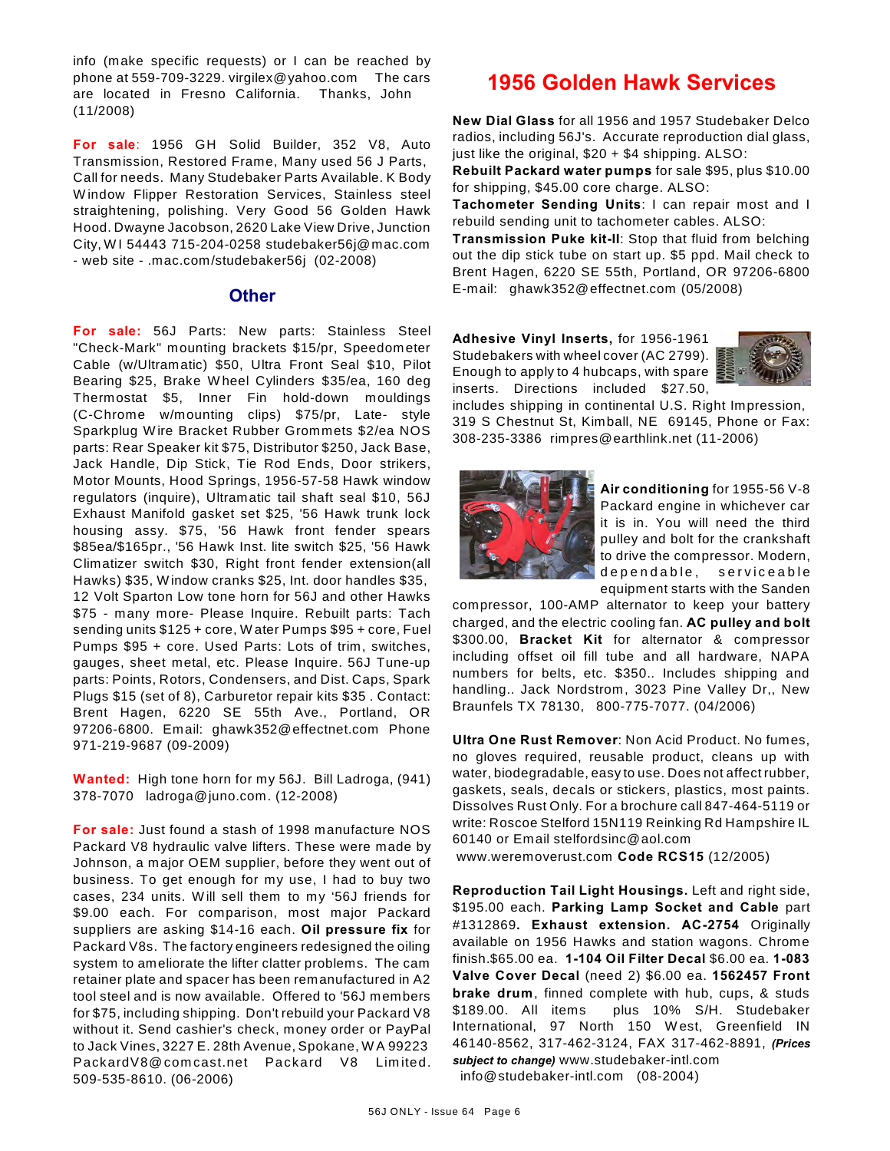info (make specific requests) or I can be reached by phone at 559-709-3229. virgilex@yahoo.com The cars are located in Fresno California. Thanks, John (11/2008)

**For sale**: 1956 GH Solid Builder, 352 V8, Auto Transmission, Restored Frame, Many used 56 J Parts, Call for needs. Many Studebaker Parts Available. K Body W indow Flipper Restoration Services, Stainless steel straightening, polishing. Very Good 56 Golden Hawk Hood. Dwayne Jacobson, 2620 Lake View Drive, Junction City, W I 54443 715-204-0258 studebaker56j@mac.com - web site - .mac.com/studebaker56j (02-2008)

#### **Other**

**For sale:** 56J Parts: New parts: Stainless Steel "Check-Mark" mounting brackets \$15/pr, Speedometer Cable (w/Ultramatic) \$50, Ultra Front Seal \$10, Pilot Bearing \$25, Brake W heel Cylinders \$35/ea, 160 deg Thermostat \$5, Inner Fin hold-down mouldings (C-Chrome w/mounting clips) \$75/pr, Late- style Sparkplug W ire Bracket Rubber Grommets \$2/ea NOS parts: Rear Speaker kit \$75, Distributor \$250, Jack Base, Jack Handle, Dip Stick, Tie Rod Ends, Door strikers, Motor Mounts, Hood Springs, 1956-57-58 Hawk window regulators (inquire), Ultramatic tail shaft seal \$10, 56J Exhaust Manifold gasket set \$25, '56 Hawk trunk lock housing assy. \$75, '56 Hawk front fender spears \$85ea/\$165pr., '56 Hawk Inst. lite switch \$25, '56 Hawk Climatizer switch \$30, Right front fender extension(all Hawks) \$35, W indow cranks \$25, Int. door handles \$35, 12 Volt Sparton Low tone horn for 56J and other Hawks \$75 - many more- Please Inquire. Rebuilt parts: Tach sending units \$125 + core, W ater Pumps \$95 + core, Fuel Pumps \$95 + core. Used Parts: Lots of trim, switches, gauges, sheet metal, etc. Please Inquire. 56J Tune-up parts: Points, Rotors, Condensers, and Dist. Caps, Spark Plugs \$15 (set of 8), Carburetor repair kits \$35 . Contact: Brent Hagen, 6220 SE 55th Ave., Portland, OR 97206-6800. Email: ghawk352@effectnet.com Phone 971-219-9687 (09-2009)

**Wanted:** High tone horn for my 56J. Bill Ladroga, (941) 378-7070 ladroga@juno.com. (12-2008)

**For sale:** Just found a stash of 1998 manufacture NOS Packard V8 hydraulic valve lifters. These were made by Johnson, a major OEM supplier, before they went out of business. To get enough for my use, I had to buy two cases, 234 units. W ill sell them to my '56J friends for \$9.00 each. For comparison, most major Packard suppliers are asking \$14-16 each. **Oil pressure fix** for Packard V8s. The factory engineers redesigned the oiling system to ameliorate the lifter clatter problems. The cam retainer plate and spacer has been remanufactured in A2 tool steel and is now available. Offered to '56J members for \$75, including shipping. Don't rebuild your Packard V8 without it. Send cashier's check, money order or PayPal to Jack Vines, 3227 E. 28th Avenue, Spokane, W A 99223 PackardV8@ com cast.net Packard V8 Lim ited. 509-535-8610. (06-2006)

# **1956 Golden Hawk Services**

**New Dial Glass** for all 1956 and 1957 Studebaker Delco radios, including 56J's. Accurate reproduction dial glass, just like the original,  $$20 + $4$  shipping. ALSO:

**Rebuilt Packard water pumps** for sale \$95, plus \$10.00 for shipping, \$45.00 core charge. ALSO:

**Tachometer Sending Units**: I can repair most and I rebuild sending unit to tachometer cables. ALSO:

**Transmission Puke kit-II**: Stop that fluid from belching out the dip stick tube on start up. \$5 ppd. Mail check to Brent Hagen, 6220 SE 55th, Portland, OR 97206-6800 E-mail: ghawk352@effectnet.com (05/2008)

**Adhesive Vinyl Inserts,** for 1956-1961 Studebakers with wheel cover (AC 2799). Enough to apply to 4 hubcaps, with spare inserts. Directions included \$27.50,



includes shipping in continental U.S. Right Impression, 319 S Chestnut St, Kimball, NE 69145, Phone or Fax: 308-235-3386 rimpres@earthlink.net (11-2006)



**Air conditioning** for 1955-56 V-8 Packard engine in whichever car it is in. You will need the third pulley and bolt for the crankshaft to drive the compressor. Modern, dependable, serviceable equipment starts with the Sanden

compressor, 100-AMP alternator to keep your battery charged, and the electric cooling fan. **AC pulley and bolt** \$300.00, **Bracket Kit** for alternator & compressor including offset oil fill tube and all hardware, NAPA numbers for belts, etc. \$350.. Includes shipping and handling.. Jack Nordstrom, 3023 Pine Valley Dr,, New Braunfels TX 78130, 800-775-7077. (04/2006)

**Ultra One Rust Remover**: Non Acid Product. No fumes, no gloves required, reusable product, cleans up with water, biodegradable, easy to use. Does not affect rubber, gaskets, seals, decals or stickers, plastics, most paints. Dissolves Rust Only. For a brochure call 847-464-5119 or write: Roscoe Stelford 15N119 Reinking Rd Hampshire IL 60140 or Email stelfordsinc@aol.com

www.weremoverust.com **Code RCS15** (12/2005)

**Reproduction Tail Light Housings.** Left and right side, \$195.00 each. **Parking Lamp Socket and Cable** part #1312869**. Exhaust extension. AC-2754** Originally available on 1956 Hawks and station wagons. Chrome finish.\$65.00 ea. **1-104 Oil Filter Decal** \$6.00 ea. **1-083 Valve Cover Decal** (need 2) \$6.00 ea. **1562457 Front brake drum**, finned complete with hub, cups, & studs \$189.00. All items plus 10% S/H. Studebaker International, 97 North 150 W est, Greenfield IN 46140-8562, 317-462-3124, FAX 317-462-8891, *(Prices subject to change)* www.studebaker-intl.com info@studebaker-intl.com (08-2004)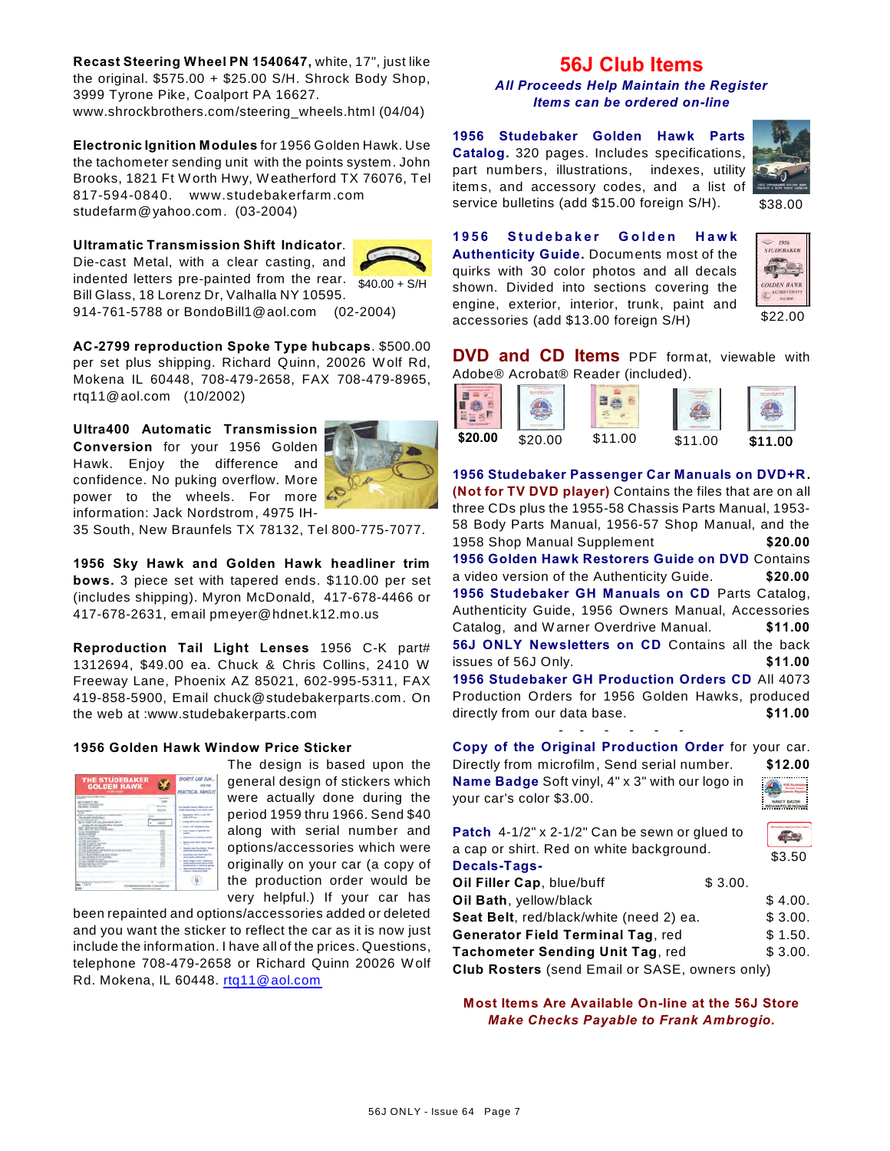**Recast Steering Wheel PN 1540647,** white, 17", just like the original. \$575.00 + \$25.00 S/H. Shrock Body Shop, 3999 Tyrone Pike, Coalport PA 16627. www.shrockbrothers.com/steering\_wheels.html (04/04)

**Electronic Ignition Modules** for 1956 Golden Hawk. Use the tachometer sending unit with the points system. John Brooks, 1821 Ft W orth Hwy, W eatherford TX 76076, Tel 817-594-0840. www.studebakerfarm .com studefarm@yahoo.com. (03-2004)

#### **Ultramatic Transmission Shift Indicator**.



indented letters pre-painted from the rear.  $\frac{1}{40.00 + S/H}$ Die-cast Metal, with a clear casting, and Bill Glass, 18 Lorenz Dr, Valhalla NY 10595. 914-761-5788 or BondoBill1@aol.com (02-2004)



**AC-2799 reproduction Spoke Type hubcaps**. \$500.00 per set plus shipping. Richard Quinn, 20026 W olf Rd, Mokena IL 60448, 708-479-2658, FAX 708-479-8965, rtq11@aol.com (10/2002)

**Ultra400 Automatic Transmission Conversion** for your 1956 Golden Hawk. Enjoy the difference and confidence. No puking overflow. More power to the wheels. For more information: Jack Nordstrom, 4975 IH-



35 South, New Braunfels TX 78132, Tel 800-775-7077.

**1956 Sky Hawk and Golden Hawk headliner trim bows.** 3 piece set with tapered ends. \$110.00 per set (includes shipping). Myron McDonald, 417-678-4466 or 417-678-2631, email pmeyer@hdnet.k12.mo.us

**Reproduction Tail Light Lenses** 1956 C-K part# 1312694, \$49.00 ea. Chuck & Chris Collins, 2410 W Freeway Lane, Phoenix AZ 85021, 602-995-5311, FAX 419-858-5900, Email chuck@studebakerparts.com. On the web at :www.studebakerparts.com

#### **1956 Golden Hawk Window Price Sticker**

|             | SPORTS CAR FUN<br><b>PRACTICAL GRANTS</b>                                                                                                                                                                                                                                                                                                                                                                                                                                                                                                                                                                                       |
|-------------|---------------------------------------------------------------------------------------------------------------------------------------------------------------------------------------------------------------------------------------------------------------------------------------------------------------------------------------------------------------------------------------------------------------------------------------------------------------------------------------------------------------------------------------------------------------------------------------------------------------------------------|
| ÷<br>۰<br>٠ | <b>This Assessed Board Affects and all</b><br>of the following at 14 month cost<br>a company of the control.<br><b>COLORADO</b><br>as come too a lost concer-<br><b>STOR &amp; LIST Selections Store</b><br>a. There is seen and business that<br><b>STATISTICS</b><br><b>Replace and Septimal Profits</b><br>Specia has fixed with court<br>$\sim$<br><b>Restort contributions</b><br><b>Astronomed Automotive Section</b><br><b>Recording them that home for-</b><br><b>Mind saider authorities</b><br>have direct your substant<br><b>State and contact a later with</b><br><b><i><u>Schmidter</u> &amp; million and</i></b> |
|             |                                                                                                                                                                                                                                                                                                                                                                                                                                                                                                                                                                                                                                 |

The design is based upon the general design of stickers which were actually done during the period 1959 thru 1966. Send \$40 along with serial number and options/accessories which were originally on your car (a copy of the production order would be very helpful.) If your car has

been repainted and options/accessories added or deleted and you want the sticker to reflect the car as it is now just include the information. I have all of the prices. Questions, telephone 708-479-2658 or Richard Quinn 20026 W olf Rd. Mokena, IL 60448. [rtq11@aol.com](mailto:rtq11@aol.com)

# **56J Club Items**

*All Proceeds Help Maintain the Register Items can be ordered on-line*

**1956 Studebaker Golden Hawk Parts Catalog.** 320 pages. Includes specifications, part numbers, illustrations, indexes, utility items, and accessory codes, and a list of service bulletins (add \$15.00 foreign S/H).



\$38.00

**1956 Studebaker Golden Hawk Authenticity Guide.** Documents most of the quirks with 30 color photos and all decals shown. Divided into sections covering the engine, exterior, interior, trunk, paint and accessories (add \$13.00 foreign S/H)



**DVD and CD Items** PDF format, viewable with Adobe® Acrobat® Reader (included).

|         | .       |         |         |         |
|---------|---------|---------|---------|---------|
| \$20.00 | \$20.00 | \$11.00 | \$11.00 | \$11.00 |

**1956 Studebaker Passenger Car Manuals on DVD+R. (Not for TV DVD player)** Contains the files that are on all three CDs plus the 1955-58 Chassis Parts Manual, 1953- 58 Body Parts Manual, 1956-57 Shop Manual, and the 1958 Shop Manual Supplement **\$20.00 1956 Golden Hawk Restorers Guide on DVD** Contains a video version of the Authenticity Guide. **\$20.00 1956 Studebaker GH Manuals on CD** Parts Catalog, Authenticity Guide, 1956 Owners Manual, Accessories Catalog, and W arner Overdrive Manual. **\$11.00 56J ONLY Newsletters on CD** Contains all the back issues of 56J Only. **\$11.00 1956 Studebaker GH Production Orders CD** All 4073 Production Orders for 1956 Golden Hawks, produced directly from our data base. **\$11.00** - - - - - -

**Copy of the Original Production Order** for your car. Directly from microfilm, Send serial number. **\$12.00**

**Name Badge** Soft vinyl, 4" x 3" with our logo in your car's color \$3.00.

| <b>Patch</b> $4-1/2$ " x $2-1/2$ " Can be sewn or glued to |         |         |
|------------------------------------------------------------|---------|---------|
| a cap or shirt. Red on white background.                   |         |         |
| Decals-Tags-                                               |         | \$3.50  |
| Oil Filler Cap, blue/buff                                  | \$3.00. |         |
| Oil Bath, yellow/black                                     |         | \$4.00. |
| Seat Belt, red/black/white (need 2) ea.                    |         | \$3.00. |
| Generator Field Terminal Tag, red                          |         | \$1.50. |
| Tachometer Sending Unit Tag, red                           |         | \$3.00. |
| <b>Club Rosters</b> (send Email or SASE, owners only)      |         |         |

**Most Items Are Available On-line at the 56J Store** *Make Checks Payable to Frank Ambrogio.*